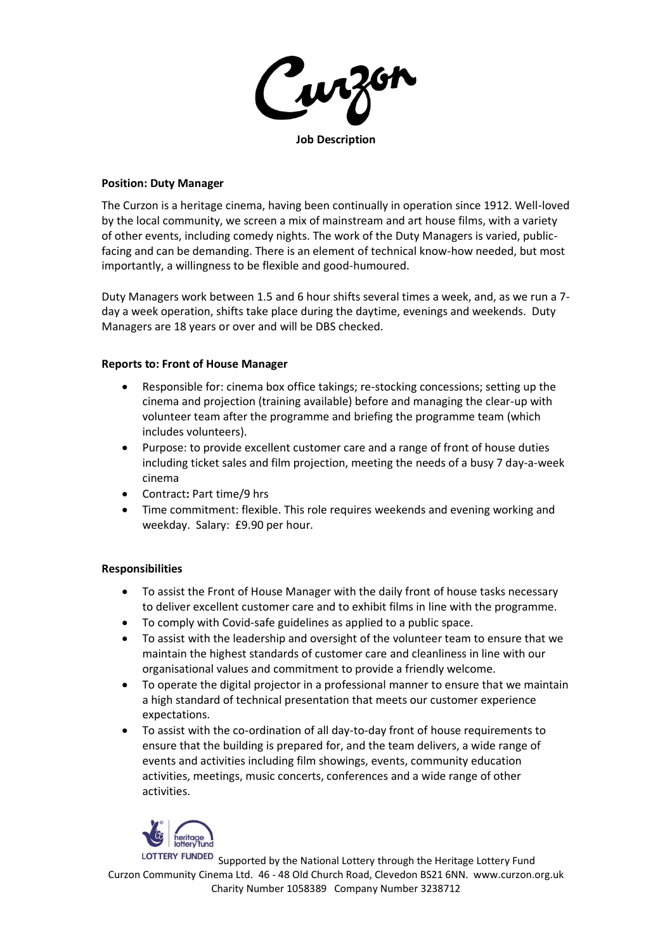**Job Description**

#### **Position: Duty Manager**

The Curzon is a heritage cinema, having been continually in operation since 1912. Well-loved by the local community, we screen a mix of mainstream and art house films, with a variety of other events, including comedy nights. The work of the Duty Managers is varied, publicfacing and can be demanding. There is an element of technical know-how needed, but most importantly, a willingness to be flexible and good-humoured.

Duty Managers work between 1.5 and 6 hour shifts several times a week, and, as we run a 7 day a week operation, shifts take place during the daytime, evenings and weekends. Duty Managers are 18 years or over and will be DBS checked.

### **Reports to: Front of House Manager**

- Responsible for: cinema box office takings; re-stocking concessions; setting up the cinema and projection (training available) before and managing the clear-up with volunteer team after the programme and briefing the programme team (which includes volunteers).
- Purpose: to provide excellent customer care and a range of front of house duties including ticket sales and film projection, meeting the needs of a busy 7 day-a-week cinema
- Contract**:** Part time/9 hrs
- Time commitment: flexible. This role requires weekends and evening working and weekday. Salary: £9.90 per hour.

### **Responsibilities**

- To assist the Front of House Manager with the daily front of house tasks necessary to deliver excellent customer care and to exhibit films in line with the programme.
- To comply with Covid-safe guidelines as applied to a public space.
- To assist with the leadership and oversight of the volunteer team to ensure that we maintain the highest standards of customer care and cleanliness in line with our organisational values and commitment to provide a friendly welcome.
- To operate the digital projector in a professional manner to ensure that we maintain a high standard of technical presentation that meets our customer experience expectations.
- To assist with the co-ordination of all day-to-day front of house requirements to ensure that the building is prepared for, and the team delivers, a wide range of events and activities including film showings, events, community education activities, meetings, music concerts, conferences and a wide range of other activities.



LOTTERY FUNDED Supported by the National Lottery through the Heritage Lottery Fund Curzon Community Cinema Ltd. 46 - 48 Old Church Road, Clevedon BS21 6NN. www.curzon.org.uk Charity Number 1058389 Company Number 3238712